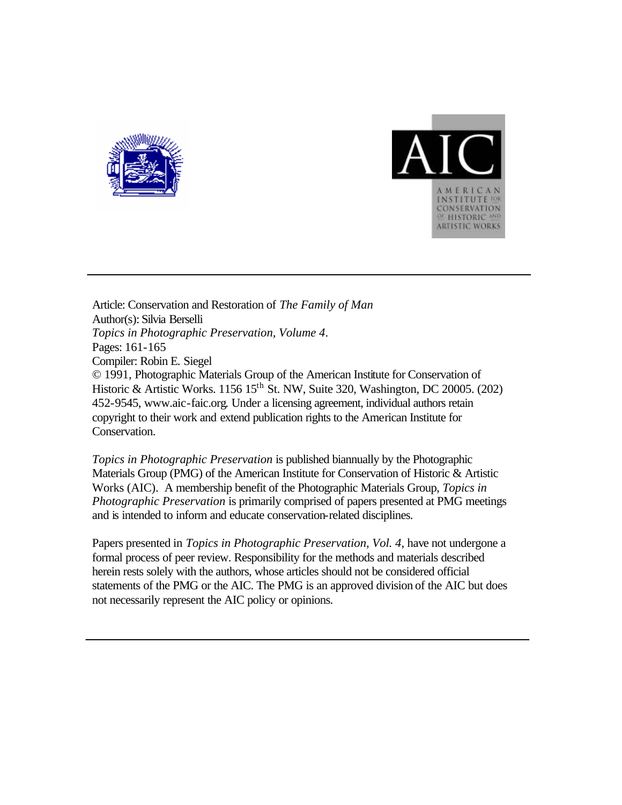



Article: Conservation and Restoration of *The Family of Man* Author(s): Silvia Berselli *Topics in Photographic Preservation, Volume 4*. Pages: 161-165 Compiler: Robin E. Siegel © 1991, Photographic Materials Group of the American Institute for Conservation of Historic & Artistic Works. 1156  $15^{th}$  St. NW, Suite 320, Washington, DC 20005. (202) 452-9545, www.aic-faic.org. Under a licensing agreement, individual authors retain copyright to their work and extend publication rights to the American Institute for Conservation.

*Topics in Photographic Preservation* is published biannually by the Photographic Materials Group (PMG) of the American Institute for Conservation of Historic & Artistic Works (AIC). A membership benefit of the Photographic Materials Group, *Topics in Photographic Preservation* is primarily comprised of papers presented at PMG meetings and is intended to inform and educate conservation-related disciplines.

Papers presented in *Topics in Photographic Preservation, Vol. 4*, have not undergone a formal process of peer review. Responsibility for the methods and materials described herein rests solely with the authors, whose articles should not be considered official statements of the PMG or the AIC. The PMG is an approved division of the AIC but does not necessarily represent the AIC policy or opinions.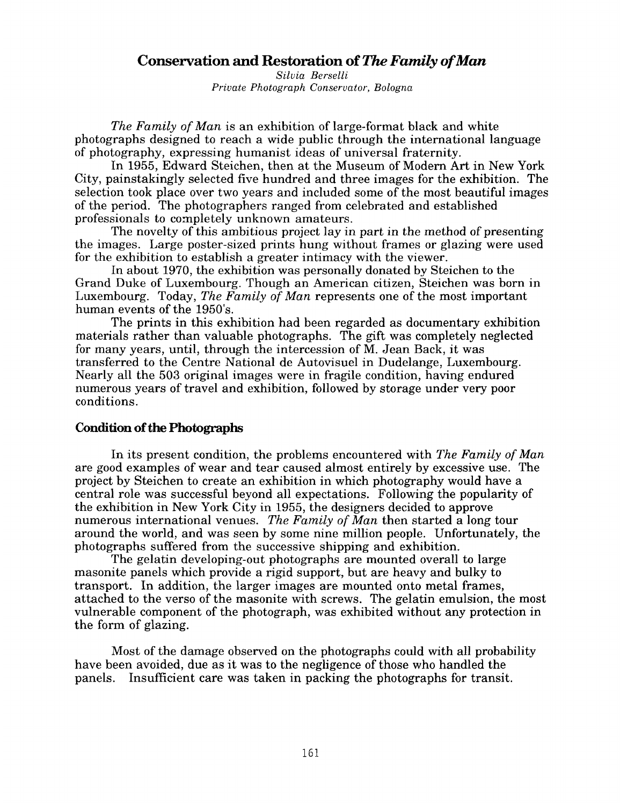## **Conservation and Restoration of** *The Family of Man*

*Silvia Berselli Private Photograph Conservator, Bologna* 

*The Family of Man* is an exhibition of large-format black and white photographs designed to reach a wide public through the international language of photography, expressing humanist ideas of universal fraternity.

In 1955, Edward Steichen, then at the Museum of Modern Art in New York City, painstakingly selected five hundred and three images for the exhibition. The selection took place over two years and included some of the most beautiful images of the period. The photographers ranged from celebrated and established professionals to completely unknown amateurs.

The novelty of this ambitious project lay in part in the method of presenting the images. Large poster-sized prints hung without frames or glazing were used for the exhibition to establish a greater intimacy with the viewer.

Grand Duke of Luxembourg. Though an American citizen, Steichen was born in Luxembourg. Today, *The Family of Man* represents one of the most important human events of the 1950's. In about 1970, the exhibition was personally donated by Steichen to the

materials rather than valuable photographs. The gift was completely neglected for many years, until, through the intercession of M. Jean Back, it was transferred to the Centre National de Autovisuel in Dudelange, Luxembourg. Nearly all the **503** original images were in fragile condition, having endured numerous years of travel and exhibition, followed by storage under very poor conditions. The prints in this exhibition had been regarded as documentary exhibition

## **Condition of the Photographs**

In its present condition, the problems encountered with *The Family of Man*  are good examples of wear and tear caused almost entirely by excessive use. The project by Steichen to create an exhibition in which photography would have a central role was successful beyond all expectations. Following the popularity of the exhibition in New York City in 1955, the designers decided to approve numerous international venues. *The Family of Man* then started a long tour around the world, and was seen by some nine million people. Unfortunately, the photographs suffered from the successive shipping and exhibition.

The gelatin developing-out photographs are mounted overall to large masonite panels which provide a rigid support, but are heavy and bulky to transport. In addition, the larger images are mounted onto metal frames, attached to the verso of the masonite with screws. The gelatin emulsion, the most vulnerable component of the photograph, was exhibited without any protection in the form of glazing.

Most of the damage observed on the photographs could with all probability Insuficient care was taken in packing the photographs for transit. have been avoided, due as it was to the negligence of those who handled the panels.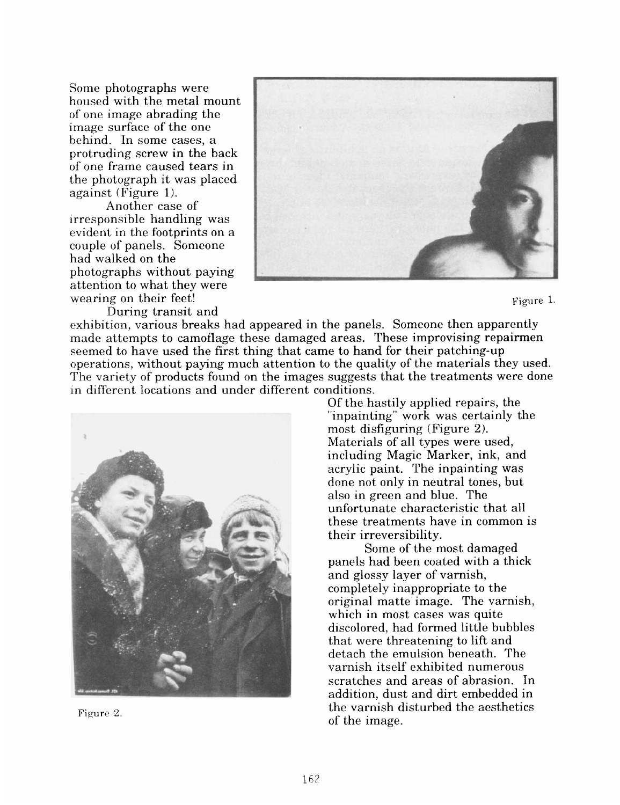Some photographs were housed with the metal mount of one image abrading the image surface of the one behind. In some cases, a protruding screw in the back of one frame caused tears in the photograph it was placed against (Figure 1).

Another case of irresponsible handling was evident in the footprints on a couple of panels. Someone had walked on the photographs without paying attention to what they were wearing on their feet!  $\blacksquare$ 

During transit and



exhibition, various breaks had appeared in the panels. Someone then apparently made attempts to camoflage these damaged areas. These improvising repairmen seemed to have used the first thing that came to hand for their patching-up operations, without paying much attention to the quality of the materials they used. The variety of products found on the images suggests that the treatments were done in different locations and under different conditions.



Figure 2.

Of the hastily applied repairs, the "inpainting" work was certainly the most disfiguring (Figure **2).**  Materials of all types were used, including Magic Marker, ink, and acrylic paint. The inpainting was done not only in neutral tones, but also in green and blue. The unfortunate characteristic that all these treatments have in common is their irreversibility.

panels had been coated with a thick and glossy layer of varnish, completely inappropriate to the original matte image. The varnish, which in most cases was quite discolored, had formed little bubbles that were threatening to lift and detach the emulsion beneath. The varnish itself exhibited numerous scratches and areas of abrasion. In addition, dust and dirt embedded in the varnish disturbed the aesthetics of the image. Some of the most damaged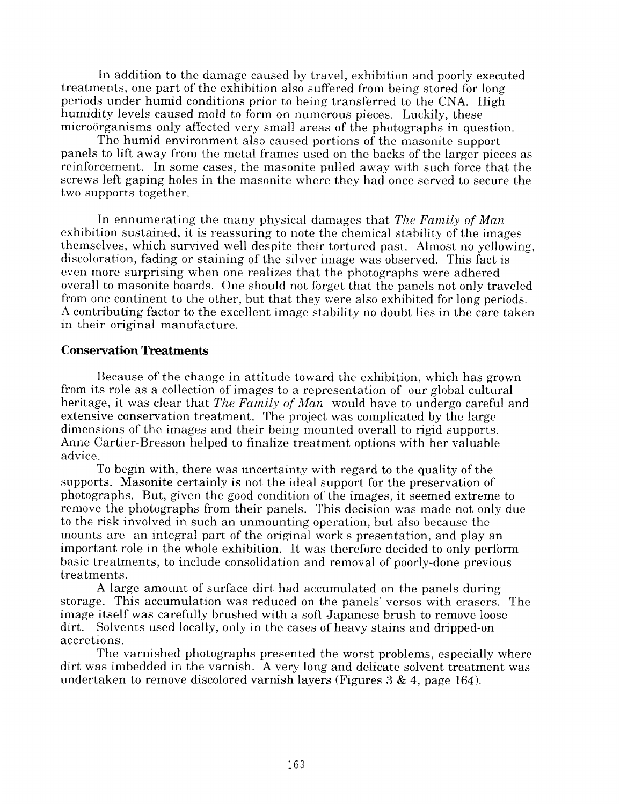In addition to the damage caused by travel, exhibition and poorly executed treatments, one part of the exhibition also suffered from being stored for long periods under humid conditions prior to being transferred to the CNA. High humidity levels caused mold to form on numerous pieces. Luckily, these microorganisms only affected very small areas of the photographs in question.

The humid environment also caused portions of the masonite support panels to lift away from the metal frames used on the backs of the larger pieces as reinforcement. In some cases, the masonite pulled away with such force that the screws left gaping holes in the masonite where they had once served to secure the two supports together.

In ennumerating the many physical damages that *The Family of Man* exhibition sustained, it is reassuring to note the chemical stability of the images themsclves, which survived well despite their tortured past. Almost no yellowing, discoloration, fading or staining of the silver image was observed. This fact is even inore surprising when one realizes that the photographs were adhered overall to masonite boards. One should not forget that the panels not only traveled from one continent to the other, but that they were also exhibited for long periods. A contributing factor to the excellent image stability no doubt lies in the care taken in their original manufacture.

## **Conservation Treatments**

Because of the change in attitude toward the exhibition, which has grown from its role as a collection of images to a representation of our global cultural heritage, it was clear that *The Family of Man* would have to undergo careful and extensive conservation treatment. The project was complicated by the large dimensions of the images and their being mounted overall to rigid supports. Anne Cartier-Bresson helped to finalize treatment options with her valuable advice.

To begin with, there was uncertainty with regard to the quality of the supports. Masonite certainly is not the ideal support for the preservation of photographs. But, given the good condition of the images, it seemed extreme to remove the photographs from their panels. This decision was made not only due to the risk involved in such an unmounting operation, but also because the mounts are an integral part of the original work's presentation, and play an important role in the whole exhibition. It was therefore decided to only perform basic treatments, to include consolidation and removal of poorly-done previous treatments.

A large amount of surface dirt had accumulated on the panels during storage. This accumulation was reduced on the panels' versos with erasers. The image itself was carefully brushed with a soft Japanese brush to remove loose dirt. Solvents used locally, only in the cases of heavy stains and dripped-on accretions.

The varnished photographs presented the worst problems, especially where dirt was imbedded in the varnish. **A** very long and delicate solvent treatment was undertaken to remove discolored varnish layers (Figures *3* & **4,** page **164).**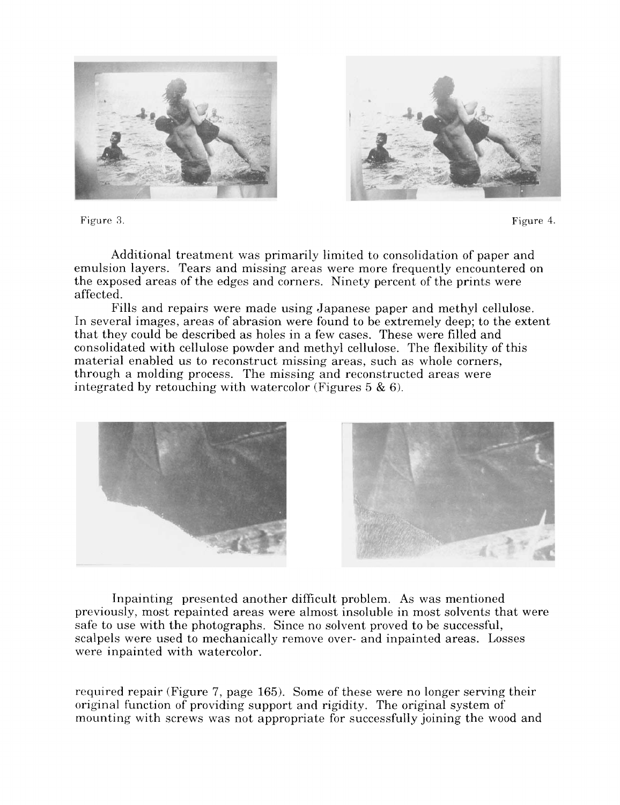



Figure **3.** Figure 4.

Additional treatment was primarily limited to consolidation of paper and emulsion layers. Tears and missing areas were more frequently encountered on the exposed areas of the edges and corners. Ninety percent of the prints were affected.

In several images, areas of abrasion were found to be extremely deep; to the extent that they could be described as holes in a few cases. These were filled and consolidated with cellulose powder and methyl cellulose. The flexibility of this material enabled us to reconstruct missing areas, such as whole corners, through a molding process. The missing and reconstructed areas were integrated by retouching with watercolor (Figures 5 & 6). Fills and repairs were made using Japanese paper and methyl cellulose.



Inpainting presented another difficult problem. As was mentioned previously, most repainted areas were almost insoluble in most solvents that were safe to use with the photographs. Since no solvent proved to be successful, scalpels were used to mechanically remove over- and inpainted areas. Losses were inpainted with watercolor.

required repair (Figure 7, page 165). Some of these were no longer serving their original function of providing support and rigidity. The original system of mounting with screws was not appropriate for successfully joining the wood and